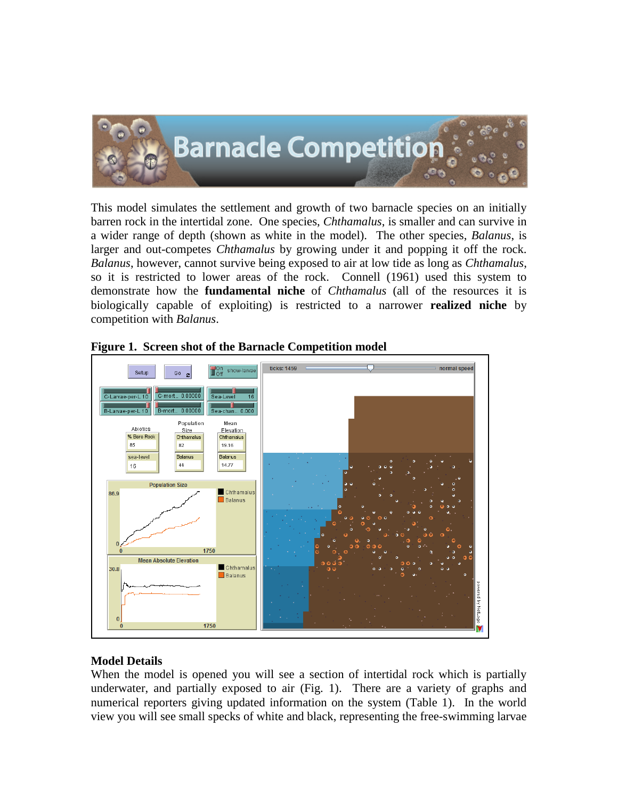

This model simulates the settlement and growth of two barnacle species on an initially barren rock in the intertidal zone. One species, *Chthamalus*, is smaller and can survive in a wider range of depth (shown as white in the model). The other species, *Balanus*, is larger and out-competes *Chthamalus* by growing under it and popping it off the rock. *Balanus*, however, cannot survive being exposed to air at low tide as long as *Chthamalus*, so it is restricted to lower areas of the rock. Connell (1961) used this system to demonstrate how the **fundamental niche** of *Chthamalus* (all of the resources it is biologically capable of exploiting) is restricted to a narrower **realized niche** by competition with *Balanus*.



|  |  | Figure 1. Screen shot of the Barnacle Competition model |  |  |
|--|--|---------------------------------------------------------|--|--|
|  |  |                                                         |  |  |
|  |  |                                                         |  |  |
|  |  |                                                         |  |  |

## **Model Details**

When the model is opened you will see a section of intertidal rock which is partially underwater, and partially exposed to air (Fig. 1). There are a variety of graphs and numerical reporters giving updated information on the system (Table 1). In the world view you will see small specks of white and black, representing the free-swimming larvae